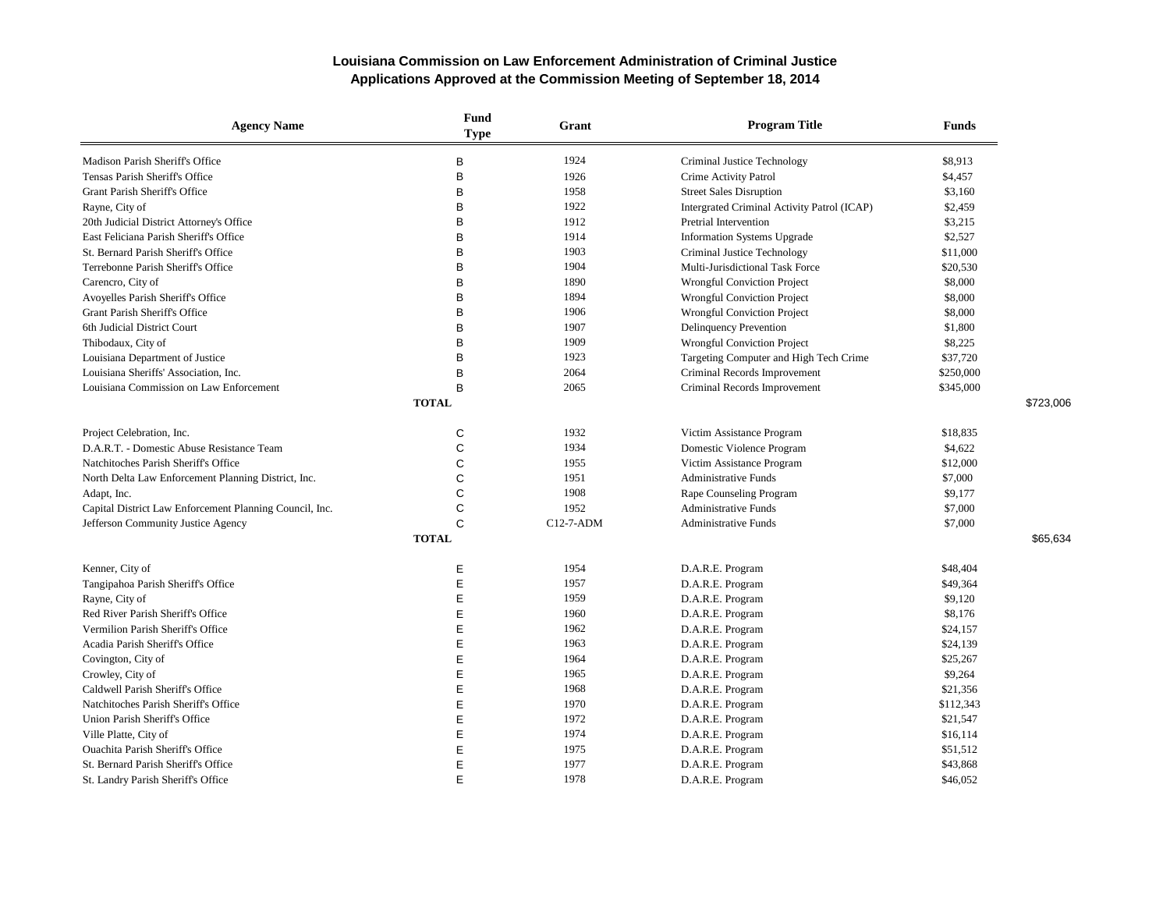| <b>Agency Name</b>                                      | <b>Fund</b><br><b>Type</b> | Grant       | <b>Program Title</b>                        | <b>Funds</b> |           |
|---------------------------------------------------------|----------------------------|-------------|---------------------------------------------|--------------|-----------|
| Madison Parish Sheriff's Office                         | B                          | 1924        | Criminal Justice Technology                 | \$8,913      |           |
| Tensas Parish Sheriff's Office                          | B                          | 1926        | Crime Activity Patrol                       | \$4,457      |           |
| Grant Parish Sheriff's Office                           | B                          | 1958        | <b>Street Sales Disruption</b>              | \$3,160      |           |
| Rayne, City of                                          | B                          | 1922        | Intergrated Criminal Activity Patrol (ICAP) | \$2,459      |           |
| 20th Judicial District Attorney's Office                | B                          | 1912        | Pretrial Intervention                       | \$3,215      |           |
| East Feliciana Parish Sheriff's Office                  | B                          | 1914        | Information Systems Upgrade                 | \$2,527      |           |
| St. Bernard Parish Sheriff's Office                     | B                          | 1903        | Criminal Justice Technology                 | \$11,000     |           |
| Terrebonne Parish Sheriff's Office                      | B                          | 1904        | Multi-Jurisdictional Task Force             | \$20,530     |           |
| Carencro, City of                                       | B                          | 1890        | <b>Wrongful Conviction Project</b>          | \$8,000      |           |
| Avoyelles Parish Sheriff's Office                       | B                          | 1894        | Wrongful Conviction Project                 | \$8,000      |           |
| Grant Parish Sheriff's Office                           | B                          | 1906        | <b>Wrongful Conviction Project</b>          | \$8,000      |           |
| 6th Judicial District Court                             | B                          | 1907        | Delinquency Prevention                      | \$1,800      |           |
| Thibodaux, City of                                      | B                          | 1909        | Wrongful Conviction Project                 | \$8,225      |           |
| Louisiana Department of Justice                         | B                          | 1923        | Targeting Computer and High Tech Crime      | \$37,720     |           |
| Louisiana Sheriffs' Association, Inc.                   | B                          | 2064        | Criminal Records Improvement                | \$250,000    |           |
| Louisiana Commission on Law Enforcement                 | B                          | 2065        | Criminal Records Improvement                | \$345,000    |           |
|                                                         | <b>TOTAL</b>               |             |                                             |              | \$723,006 |
| Project Celebration, Inc.                               | C                          | 1932        | Victim Assistance Program                   | \$18,835     |           |
| D.A.R.T. - Domestic Abuse Resistance Team               | C                          | 1934        | Domestic Violence Program                   | \$4,622      |           |
| Natchitoches Parish Sheriff's Office                    | $\mathsf{C}$               | 1955        | Victim Assistance Program                   | \$12,000     |           |
| North Delta Law Enforcement Planning District, Inc.     | C                          | 1951        | <b>Administrative Funds</b>                 | \$7,000      |           |
| Adapt, Inc.                                             | C                          | 1908        | Rape Counseling Program                     | \$9,177      |           |
| Capital District Law Enforcement Planning Council, Inc. | $\mathsf{C}$               | 1952        | <b>Administrative Funds</b>                 | \$7,000      |           |
| Jefferson Community Justice Agency                      | C                          | $C12-7-ADM$ | <b>Administrative Funds</b>                 | \$7,000      |           |
|                                                         | <b>TOTAL</b>               |             |                                             |              | \$65,634  |
| Kenner, City of                                         | Ε                          | 1954        | D.A.R.E. Program                            | \$48,404     |           |
| Tangipahoa Parish Sheriff's Office                      | Ε                          | 1957        | D.A.R.E. Program                            | \$49,364     |           |
| Rayne, City of                                          | E                          | 1959        | D.A.R.E. Program                            | \$9,120      |           |
| Red River Parish Sheriff's Office                       | Ε                          | 1960        | D.A.R.E. Program                            | \$8,176      |           |
| Vermilion Parish Sheriff's Office                       | E                          | 1962        | D.A.R.E. Program                            | \$24,157     |           |
| Acadia Parish Sheriff's Office                          | E                          | 1963        | D.A.R.E. Program                            | \$24,139     |           |
| Covington, City of                                      | Ε                          | 1964        | D.A.R.E. Program                            | \$25,267     |           |
| Crowley, City of                                        | E                          | 1965        | D.A.R.E. Program                            | \$9,264      |           |
| Caldwell Parish Sheriff's Office                        | Ε                          | 1968        | D.A.R.E. Program                            | \$21,356     |           |
| Natchitoches Parish Sheriff's Office                    | E                          | 1970        | D.A.R.E. Program                            | \$112,343    |           |
| Union Parish Sheriff's Office                           | E                          | 1972        | D.A.R.E. Program                            | \$21,547     |           |
| Ville Platte, City of                                   | E                          | 1974        | D.A.R.E. Program                            | \$16,114     |           |
| <b>Ouachita Parish Sheriff's Office</b>                 | Е                          | 1975        | D.A.R.E. Program                            | \$51,512     |           |
| St. Bernard Parish Sheriff's Office                     | E                          | 1977        | D.A.R.E. Program                            | \$43,868     |           |
| St. Landry Parish Sheriff's Office                      | E                          | 1978        | D.A.R.E. Program                            | \$46,052     |           |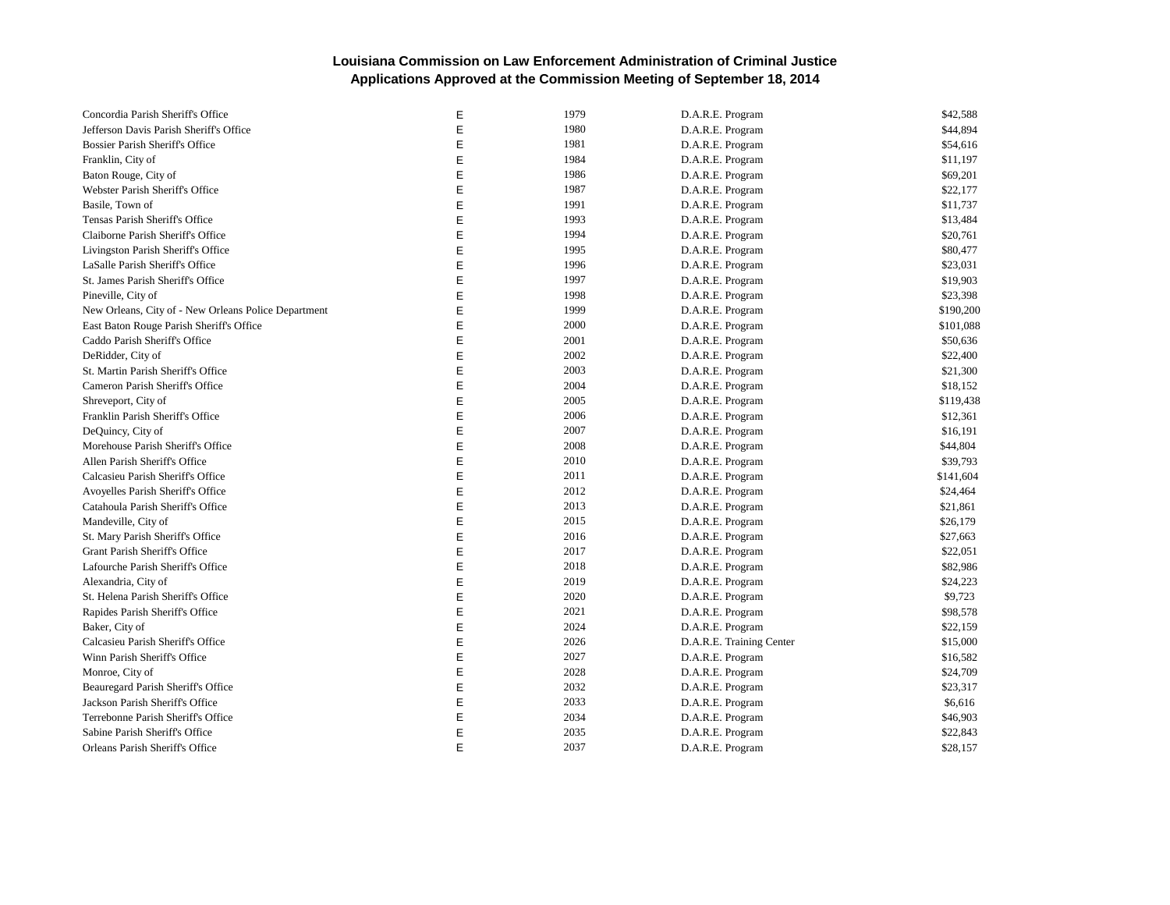| Concordia Parish Sheriff's Office                    | Ε | 1979 | D.A.R.E. Program         | \$42,588  |
|------------------------------------------------------|---|------|--------------------------|-----------|
| Jefferson Davis Parish Sheriff's Office              | E | 1980 | D.A.R.E. Program         | \$44,894  |
| Bossier Parish Sheriff's Office                      | E | 1981 | D.A.R.E. Program         | \$54,616  |
| Franklin, City of                                    | E | 1984 | D.A.R.E. Program         | \$11,197  |
| Baton Rouge, City of                                 | E | 1986 | D.A.R.E. Program         | \$69,201  |
| Webster Parish Sheriff's Office                      | E | 1987 | D.A.R.E. Program         | \$22,177  |
| Basile, Town of                                      | E | 1991 | D.A.R.E. Program         | \$11,737  |
| Tensas Parish Sheriff's Office                       | E | 1993 | D.A.R.E. Program         | \$13,484  |
| Claiborne Parish Sheriff's Office                    | E | 1994 | D.A.R.E. Program         | \$20,761  |
| Livingston Parish Sheriff's Office                   | E | 1995 | D.A.R.E. Program         | \$80,477  |
| LaSalle Parish Sheriff's Office                      | E | 1996 | D.A.R.E. Program         | \$23,031  |
| St. James Parish Sheriff's Office                    | E | 1997 | D.A.R.E. Program         | \$19,903  |
| Pineville, City of                                   | E | 1998 | D.A.R.E. Program         | \$23,398  |
| New Orleans, City of - New Orleans Police Department | E | 1999 | D.A.R.E. Program         | \$190,200 |
| East Baton Rouge Parish Sheriff's Office             | E | 2000 | D.A.R.E. Program         | \$101,088 |
| Caddo Parish Sheriff's Office                        | E | 2001 | D.A.R.E. Program         | \$50,636  |
| DeRidder, City of                                    | E | 2002 | D.A.R.E. Program         | \$22,400  |
| St. Martin Parish Sheriff's Office                   | E | 2003 | D.A.R.E. Program         | \$21,300  |
| Cameron Parish Sheriff's Office                      | E | 2004 | D.A.R.E. Program         | \$18,152  |
| Shreveport, City of                                  | E | 2005 | D.A.R.E. Program         | \$119,438 |
| Franklin Parish Sheriff's Office                     | E | 2006 | D.A.R.E. Program         | \$12,361  |
| DeQuincy, City of                                    | E | 2007 | D.A.R.E. Program         | \$16,191  |
| Morehouse Parish Sheriff's Office                    | E | 2008 | D.A.R.E. Program         | \$44,804  |
| Allen Parish Sheriff's Office                        | E | 2010 | D.A.R.E. Program         | \$39,793  |
| Calcasieu Parish Sheriff's Office                    | E | 2011 | D.A.R.E. Program         | \$141,604 |
| Avoyelles Parish Sheriff's Office                    | E | 2012 | D.A.R.E. Program         | \$24,464  |
| Catahoula Parish Sheriff's Office                    | E | 2013 | D.A.R.E. Program         | \$21,861  |
| Mandeville, City of                                  | E | 2015 | D.A.R.E. Program         | \$26,179  |
| St. Mary Parish Sheriff's Office                     | E | 2016 | D.A.R.E. Program         | \$27,663  |
| Grant Parish Sheriff's Office                        | E | 2017 | D.A.R.E. Program         | \$22,051  |
| Lafourche Parish Sheriff's Office                    | E | 2018 | D.A.R.E. Program         | \$82,986  |
| Alexandria, City of                                  | E | 2019 | D.A.R.E. Program         | \$24,223  |
| St. Helena Parish Sheriff's Office                   | E | 2020 | D.A.R.E. Program         | \$9,723   |
| Rapides Parish Sheriff's Office                      | E | 2021 | D.A.R.E. Program         | \$98,578  |
| Baker, City of                                       | E | 2024 | D.A.R.E. Program         | \$22,159  |
| Calcasieu Parish Sheriff's Office                    | E | 2026 | D.A.R.E. Training Center | \$15,000  |
| Winn Parish Sheriff's Office                         | E | 2027 | D.A.R.E. Program         | \$16,582  |
| Monroe, City of                                      | E | 2028 | D.A.R.E. Program         | \$24,709  |
| Beauregard Parish Sheriff's Office                   | E | 2032 | D.A.R.E. Program         | \$23,317  |
| Jackson Parish Sheriff's Office                      | E | 2033 | D.A.R.E. Program         | \$6,616   |
| Terrebonne Parish Sheriff's Office                   | E | 2034 | D.A.R.E. Program         | \$46,903  |
| Sabine Parish Sheriff's Office                       | E | 2035 | D.A.R.E. Program         | \$22,843  |
| Orleans Parish Sheriff's Office                      | E | 2037 | D.A.R.E. Program         | \$28,157  |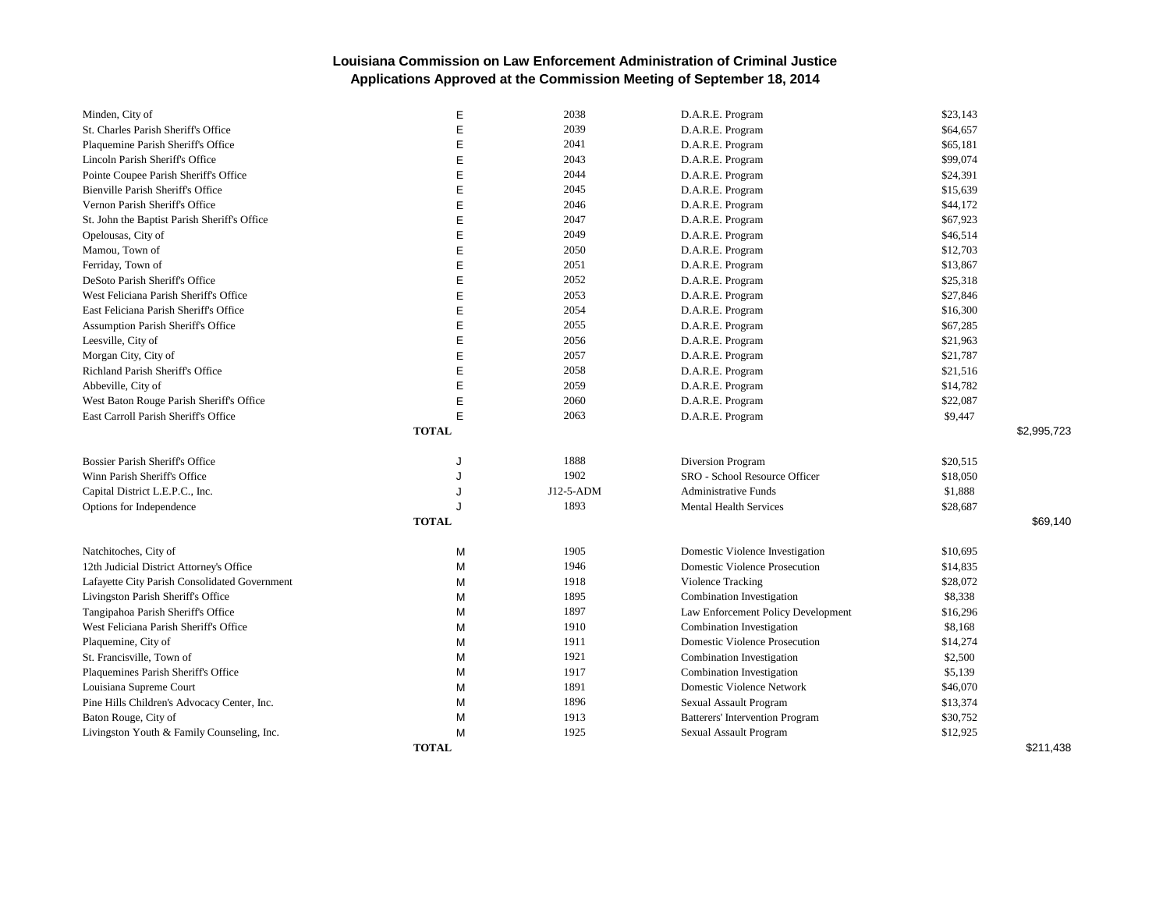| Minden, City of                               | E            | 2038      | D.A.R.E. Program                       | \$23,143 |             |
|-----------------------------------------------|--------------|-----------|----------------------------------------|----------|-------------|
| St. Charles Parish Sheriff's Office           | E            | 2039      | D.A.R.E. Program                       | \$64,657 |             |
| Plaquemine Parish Sheriff's Office            | E            | 2041      | D.A.R.E. Program                       | \$65,181 |             |
| Lincoln Parish Sheriff's Office               | E            | 2043      | D.A.R.E. Program                       | \$99,074 |             |
| Pointe Coupee Parish Sheriff's Office         | E            | 2044      | D.A.R.E. Program                       | \$24,391 |             |
| Bienville Parish Sheriff's Office             | E            | 2045      | D.A.R.E. Program                       | \$15,639 |             |
| Vernon Parish Sheriff's Office                | E            | 2046      | D.A.R.E. Program                       | \$44,172 |             |
| St. John the Baptist Parish Sheriff's Office  | E            | 2047      | D.A.R.E. Program                       | \$67,923 |             |
| Opelousas, City of                            | E            | 2049      | D.A.R.E. Program                       | \$46,514 |             |
| Mamou, Town of                                | E            | 2050      | D.A.R.E. Program                       | \$12,703 |             |
| Ferriday, Town of                             | E            | 2051      | D.A.R.E. Program                       | \$13,867 |             |
| DeSoto Parish Sheriff's Office                | E            | 2052      | D.A.R.E. Program                       | \$25,318 |             |
| West Feliciana Parish Sheriff's Office        | E            | 2053      | D.A.R.E. Program                       | \$27,846 |             |
| East Feliciana Parish Sheriff's Office        | E            | 2054      | D.A.R.E. Program                       | \$16,300 |             |
| Assumption Parish Sheriff's Office            | E            | 2055      | D.A.R.E. Program                       | \$67,285 |             |
| Leesville, City of                            | E            | 2056      | D.A.R.E. Program                       | \$21,963 |             |
| Morgan City, City of                          | E            | 2057      | D.A.R.E. Program                       | \$21,787 |             |
| Richland Parish Sheriff's Office              | E            | 2058      | D.A.R.E. Program                       | \$21,516 |             |
| Abbeville, City of                            | E            | 2059      | D.A.R.E. Program                       | \$14,782 |             |
| West Baton Rouge Parish Sheriff's Office      | E            | 2060      | D.A.R.E. Program                       | \$22,087 |             |
| East Carroll Parish Sheriff's Office          | E            | 2063      | D.A.R.E. Program                       | \$9,447  |             |
|                                               | <b>TOTAL</b> |           |                                        |          | \$2,995,723 |
| Bossier Parish Sheriff's Office               | J            | 1888      | Diversion Program                      | \$20,515 |             |
| Winn Parish Sheriff's Office                  | J            | 1902      | SRO - School Resource Officer          | \$18,050 |             |
| Capital District L.E.P.C., Inc.               | J            | J12-5-ADM | <b>Administrative Funds</b>            | \$1,888  |             |
| Options for Independence                      |              | 1893      | <b>Mental Health Services</b>          | \$28,687 |             |
|                                               | <b>TOTAL</b> |           |                                        |          | \$69.140    |
| Natchitoches, City of                         | M            | 1905      | Domestic Violence Investigation        | \$10,695 |             |
| 12th Judicial District Attorney's Office      | M            | 1946      | <b>Domestic Violence Prosecution</b>   | \$14,835 |             |
| Lafayette City Parish Consolidated Government | M            | 1918      | Violence Tracking                      | \$28,072 |             |
| Livingston Parish Sheriff's Office            | M            | 1895      | Combination Investigation              | \$8,338  |             |
| Tangipahoa Parish Sheriff's Office            | М            | 1897      | Law Enforcement Policy Development     | \$16,296 |             |
| West Feliciana Parish Sheriff's Office        | M            | 1910      | Combination Investigation              | \$8,168  |             |
| Plaquemine, City of                           | M            | 1911      | <b>Domestic Violence Prosecution</b>   | \$14,274 |             |
| St. Francisville, Town of                     | M            | 1921      | Combination Investigation              | \$2,500  |             |
| Plaquemines Parish Sheriff's Office           | M            | 1917      | Combination Investigation              | \$5,139  |             |
| Louisiana Supreme Court                       | M            | 1891      | <b>Domestic Violence Network</b>       | \$46,070 |             |
| Pine Hills Children's Advocacy Center, Inc.   | M            | 1896      | Sexual Assault Program                 | \$13,374 |             |
| Baton Rouge, City of                          | M            | 1913      | <b>Batterers' Intervention Program</b> | \$30,752 |             |
| Livingston Youth & Family Counseling, Inc.    | M            | 1925      | Sexual Assault Program                 | \$12,925 |             |
|                                               | <b>TOTAL</b> |           |                                        |          | \$211,438   |